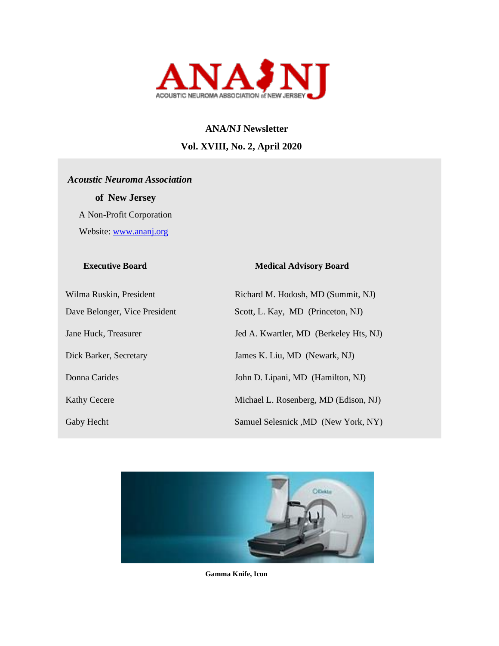

# **ANA/NJ Newsletter Vol. XVIII, No. 2, April 2020**

# *Acoustic Neuroma Association*

 **of New Jersey**  A Non-Profit Corporation Website: [www.ananj.org](http://www.ananj.org/)

#### **Executive Board Medical Advisory Board**

| Wilma Ruskin, President       | Richard M. Hodosh, MD (Summit, NJ)     |
|-------------------------------|----------------------------------------|
| Dave Belonger, Vice President | Scott, L. Kay, MD (Princeton, NJ)      |
| Jane Huck, Treasurer          | Jed A. Kwartler, MD (Berkeley Hts, NJ) |
| Dick Barker, Secretary        | James K. Liu, MD (Newark, NJ)          |
| Donna Carides                 | John D. Lipani, MD (Hamilton, NJ)      |
| <b>Kathy Cecere</b>           | Michael L. Rosenberg, MD (Edison, NJ)  |
| Gaby Hecht                    | Samuel Selesnick , MD (New York, NY)   |



**Gamma Knife, Icon**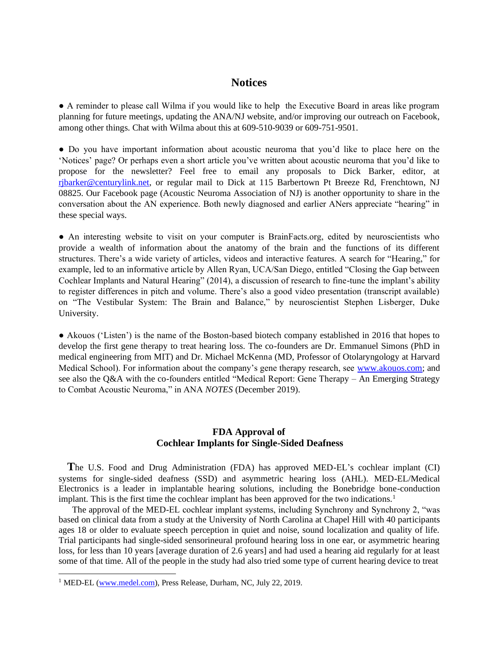#### **Notices**

● A reminder to please call Wilma if you would like to help the Executive Board in areas like program planning for future meetings, updating the ANA/NJ website, and/or improving our outreach on Facebook, among other things. Chat with Wilma about this at 609-510-9039 or 609-751-9501.

● Do you have important information about acoustic neuroma that you'd like to place here on the 'Notices' page? Or perhaps even a short article you've written about acoustic neuroma that you'd like to propose for the newsletter? Feel free to email any proposals to Dick Barker, editor, at [rjbarker@centurylink.net,](mailto:rjbarker@centurylink.net) or regular mail to Dick at 115 Barbertown Pt Breeze Rd, Frenchtown, NJ 08825. Our Facebook page (Acoustic Neuroma Association of NJ) is another opportunity to share in the conversation about the AN experience. Both newly diagnosed and earlier ANers appreciate "hearing" in these special ways.

• An interesting website to visit on your computer is BrainFacts.org, edited by neuroscientists who provide a wealth of information about the anatomy of the brain and the functions of its different structures. There's a wide variety of articles, videos and interactive features. A search for "Hearing," for example, led to an informative article by Allen Ryan, UCA/San Diego, entitled "Closing the Gap between Cochlear Implants and Natural Hearing" (2014), a discussion of research to fine-tune the implant's ability to register differences in pitch and volume. There's also a good video presentation (transcript available) on "The Vestibular System: The Brain and Balance," by neuroscientist Stephen Lisberger, Duke University.

• Akouos ('Listen') is the name of the Boston-based biotech company established in 2016 that hopes to develop the first gene therapy to treat hearing loss. The co-founders are Dr. Emmanuel Simons (PhD in medical engineering from MIT) and Dr. Michael McKenna (MD, Professor of Otolaryngology at Harvard Medical School). For information about the company's gene therapy research, see [www.akouos.com;](http://www.akouos.com/) and see also the Q&A with the co-founders entitled "Medical Report: Gene Therapy – An Emerging Strategy to Combat Acoustic Neuroma," in ANA *NOTES* (December 2019).

#### **FDA Approval of Cochlear Implants for Single-Sided Deafness**

 **T**he U.S. Food and Drug Administration (FDA) has approved MED-EL's cochlear implant (CI) systems for single-sided deafness (SSD) and asymmetric hearing loss (AHL). MED-EL/Medical Electronics is a leader in implantable hearing solutions, including the Bonebridge bone-conduction implant. This is the first time the cochlear implant has been approved for the two indications.<sup>1</sup>

 The approval of the MED-EL cochlear implant systems, including Synchrony and Synchrony 2, "was based on clinical data from a study at the University of North Carolina at Chapel Hill with 40 participants ages 18 or older to evaluate speech perception in quiet and noise, sound localization and quality of life. Trial participants had single-sided sensorineural profound hearing loss in one ear, or asymmetric hearing loss, for less than 10 years [average duration of 2.6 years] and had used a hearing aid regularly for at least some of that time. All of the people in the study had also tried some type of current hearing device to treat

<sup>&</sup>lt;sup>1</sup> MED-EL [\(www.medel.com\)](http://www.medel.com/), Press Release, Durham, NC, July 22, 2019.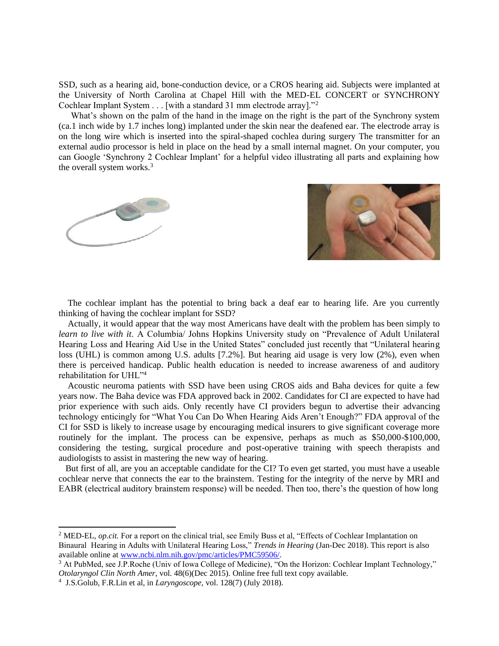SSD, such as a hearing aid, bone-conduction device, or a CROS hearing aid. Subjects were implanted at the University of North Carolina at Chapel Hill with the MED-EL CONCERT or SYNCHRONY Cochlear Implant System . . . [with a standard 31 mm electrode array]."<sup>2</sup>

What's shown on the palm of the hand in the image on the right is the part of the Synchrony system (ca.1 inch wide by 1.7 inches long) implanted under the skin near the deafened ear. The electrode array is on the long wire which is inserted into the spiral-shaped cochlea during surgery The transmitter for an external audio processor is held in place on the head by a small internal magnet. On your computer, you can Google 'Synchrony 2 Cochlear Implant' for a helpful video illustrating all parts and explaining how the overall system works.<sup>3</sup>



 The cochlear implant has the potential to bring back a deaf ear to hearing life. Are you currently thinking of having the cochlear implant for SSD?

 Actually, it would appear that the way most Americans have dealt with the problem has been simply to *learn to live with it*. A Columbia/ Johns Hopkins University study on "Prevalence of Adult Unilateral Hearing Loss and Hearing Aid Use in the United States" concluded just recently that "Unilateral hearing loss (UHL) is common among U.S. adults [7.2%]. But hearing aid usage is very low (2%), even when there is perceived handicap. Public health education is needed to increase awareness of and auditory rehabilitation for UHL"<sup>4</sup>

 Acoustic neuroma patients with SSD have been using CROS aids and Baha devices for quite a few years now. The Baha device was FDA approved back in 2002. Candidates for CI are expected to have had prior experience with such aids. Only recently have CI providers begun to advertise their advancing technology enticingly for "What You Can Do When Hearing Aids Aren't Enough?" FDA approval of the CI for SSD is likely to increase usage by encouraging medical insurers to give significant coverage more routinely for the implant. The process can be expensive, perhaps as much as \$50,000-\$100,000, considering the testing, surgical procedure and post-operative training with speech therapists and audiologists to assist in mastering the new way of hearing.

 But first of all, are you an acceptable candidate for the CI? To even get started, you must have a useable cochlear nerve that connects the ear to the brainstem. Testing for the integrity of the nerve by MRI and EABR (electrical auditory brainstem response) will be needed. Then too, there's the question of how long

<sup>&</sup>lt;sup>2</sup> MED-EL, *op.cit.* For a report on the clinical trial, see Emily Buss et al, "Effects of Cochlear Implantation on Binaural Hearing in Adults with Unilateral Hearing Loss," *Trends in Hearing* (Jan-Dec 2018). This report is also available online at [www.ncbi.nlm.nih.gov/pmc/articles/PMC59506/.](http://www.ncbi.nlm.nih.gov/pmc/articles/PMC59506/) 

<sup>3</sup> At PubMed, see J.P.Roche (Univ of Iowa College of Medicine), "On the Horizon: Cochlear Implant Technology," *Otolaryngol Clin North Amer*, vol. 48(6)(Dec 2015). Online free full text copy available.

<sup>4</sup> J.S.Golub, F.R.Lin et al, in *Laryngoscope*, vol. 128(7) (July 2018).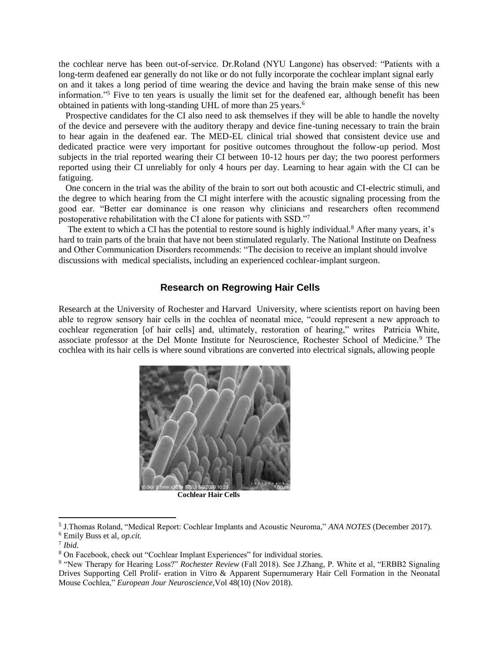the cochlear nerve has been out-of-service. Dr.Roland (NYU Langone) has observed: "Patients with a long-term deafened ear generally do not like or do not fully incorporate the cochlear implant signal early on and it takes a long period of time wearing the device and having the brain make sense of this new information."<sup>5</sup> Five to ten years is usually the limit set for the deafened ear, although benefit has been obtained in patients with long-standing UHL of more than 25 years.<sup>6</sup>

 Prospective candidates for the CI also need to ask themselves if they will be able to handle the novelty of the device and persevere with the auditory therapy and device fine-tuning necessary to train the brain to hear again in the deafened ear. The MED-EL clinical trial showed that consistent device use and dedicated practice were very important for positive outcomes throughout the follow-up period. Most subjects in the trial reported wearing their CI between 10-12 hours per day; the two poorest performers reported using their CI unreliably for only 4 hours per day. Learning to hear again with the CI can be fatiguing.

 One concern in the trial was the ability of the brain to sort out both acoustic and CI-electric stimuli, and the degree to which hearing from the CI might interfere with the acoustic signaling processing from the good ear. "Better ear dominance is one reason why clinicians and researchers often recommend postoperative rehabilitation with the CI alone for patients with SSD."<sup>7</sup>

The extent to which a CI has the potential to restore sound is highly individual.<sup>8</sup> After many years, it's hard to train parts of the brain that have not been stimulated regularly. The National Institute on Deafness and Other Communication Disorders recommends: "The decision to receive an implant should involve discussions with medical specialists, including an experienced cochlear-implant surgeon.

#### **Research on Regrowing Hair Cells**

Research at the University of Rochester and Harvard University, where scientists report on having been able to regrow sensory hair cells in the cochlea of neonatal mice, "could represent a new approach to cochlear regeneration [of hair cells] and, ultimately, restoration of hearing," writes Patricia White, associate professor at the Del Monte Institute for Neuroscience, Rochester School of Medicine.<sup>9</sup> The cochlea with its hair cells is where sound vibrations are converted into electrical signals, allowing people



**Cochlear Hair Cells**

<sup>5</sup> J.Thomas Roland, "Medical Report: Cochlear Implants and Acoustic Neuroma," *ANA NOTES* (December 2017). <sup>6</sup> Emily Buss et al, *op.cit.*

<sup>7</sup> *Ibid.*

<sup>8</sup> On Facebook, check out "Cochlear Implant Experiences" for individual stories.

<sup>&</sup>lt;sup>9</sup> "New Therapy for Hearing Loss?" *Rochester Review* (Fall 2018). See J.Zhang, P. White et al, "ERBB2 Signaling Drives Supporting Cell Prolif- eration in Vitro & Apparent Supernumerary Hair Cell Formation in the Neonatal Mouse Cochlea," *European Jour Neuroscience*,Vol 48(10) (Nov 2018).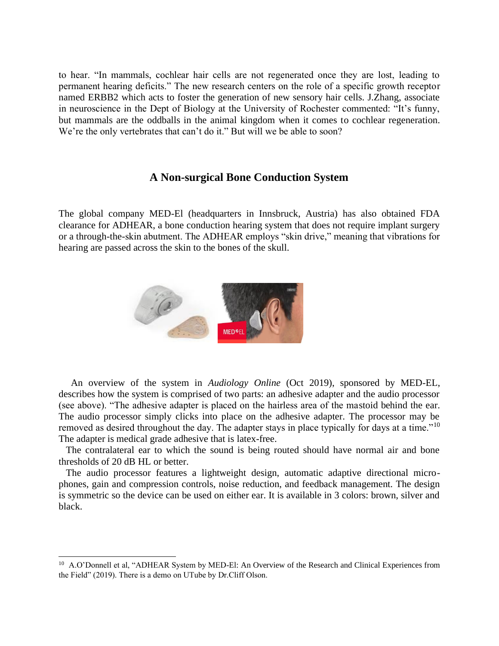to hear. "In mammals, cochlear hair cells are not regenerated once they are lost, leading to permanent hearing deficits." The new research centers on the role of a specific growth receptor named ERBB2 which acts to foster the generation of new sensory hair cells. J.Zhang, associate in neuroscience in the Dept of Biology at the University of Rochester commented: "It's funny, but mammals are the oddballs in the animal kingdom when it comes to cochlear regeneration. We're the only vertebrates that can't do it." But will we be able to soon?

#### **A Non-surgical Bone Conduction System**

The global company MED-El (headquarters in Innsbruck, Austria) has also obtained FDA clearance for ADHEAR, a bone conduction hearing system that does not require implant surgery or a through-the-skin abutment. The ADHEAR employs "skin drive," meaning that vibrations for hearing are passed across the skin to the bones of the skull.



 An overview of the system in *Audiology Online* (Oct 2019), sponsored by MED-EL, describes how the system is comprised of two parts: an adhesive adapter and the audio processor (see above). "The adhesive adapter is placed on the hairless area of the mastoid behind the ear. The audio processor simply clicks into place on the adhesive adapter. The processor may be removed as desired throughout the day. The adapter stays in place typically for days at a time."<sup>10</sup> The adapter is medical grade adhesive that is latex-free.

 The contralateral ear to which the sound is being routed should have normal air and bone thresholds of 20 dB HL or better.

 The audio processor features a lightweight design, automatic adaptive directional microphones, gain and compression controls, noise reduction, and feedback management. The design is symmetric so the device can be used on either ear. It is available in 3 colors: brown, silver and black.

<sup>&</sup>lt;sup>10</sup> A.O'Donnell et al, "ADHEAR System by MED-El: An Overview of the Research and Clinical Experiences from the Field" (2019). There is a demo on UTube by Dr.Cliff Olson.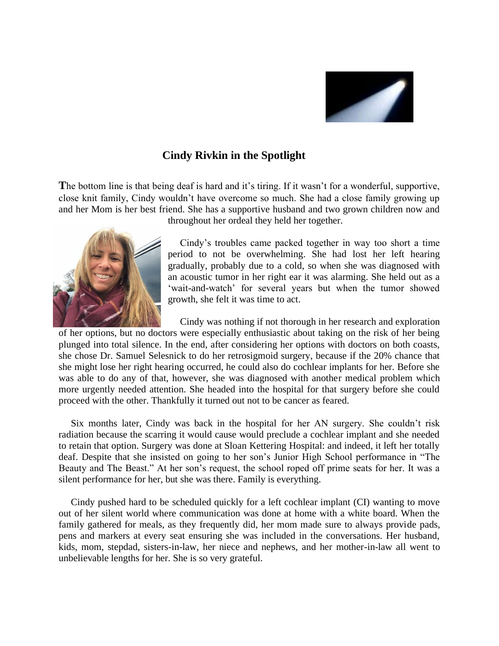

### **Cindy Rivkin in the Spotlight**

**T**he bottom line is that being deaf is hard and it's tiring. If it wasn't for a wonderful, supportive, close knit family, Cindy wouldn't have overcome so much. She had a close family growing up and her Mom is her best friend. She has a supportive husband and two grown children now and



throughout her ordeal they held her together.

 Cindy's troubles came packed together in way too short a time period to not be overwhelming. She had lost her left hearing gradually, probably due to a cold, so when she was diagnosed with an acoustic tumor in her right ear it was alarming. She held out as a 'wait-and-watch' for several years but when the tumor showed growth, she felt it was time to act.

 Cindy was nothing if not thorough in her research and exploration of her options, but no doctors were especially enthusiastic about taking on the risk of her being plunged into total silence. In the end, after considering her options with doctors on both coasts, she chose Dr. Samuel Selesnick to do her retrosigmoid surgery, because if the 20% chance that she might lose her right hearing occurred, he could also do cochlear implants for her. Before she was able to do any of that, however, she was diagnosed with another medical problem which more urgently needed attention. She headed into the hospital for that surgery before she could proceed with the other. Thankfully it turned out not to be cancer as feared.

 Six months later, Cindy was back in the hospital for her AN surgery. She couldn't risk radiation because the scarring it would cause would preclude a cochlear implant and she needed to retain that option. Surgery was done at Sloan Kettering Hospital: and indeed, it left her totally deaf. Despite that she insisted on going to her son's Junior High School performance in "The Beauty and The Beast." At her son's request, the school roped off prime seats for her. It was a silent performance for her, but she was there. Family is everything.

 Cindy pushed hard to be scheduled quickly for a left cochlear implant (CI) wanting to move out of her silent world where communication was done at home with a white board. When the family gathered for meals, as they frequently did, her mom made sure to always provide pads, pens and markers at every seat ensuring she was included in the conversations. Her husband, kids, mom, stepdad, sisters-in-law, her niece and nephews, and her mother-in-law all went to unbelievable lengths for her. She is so very grateful.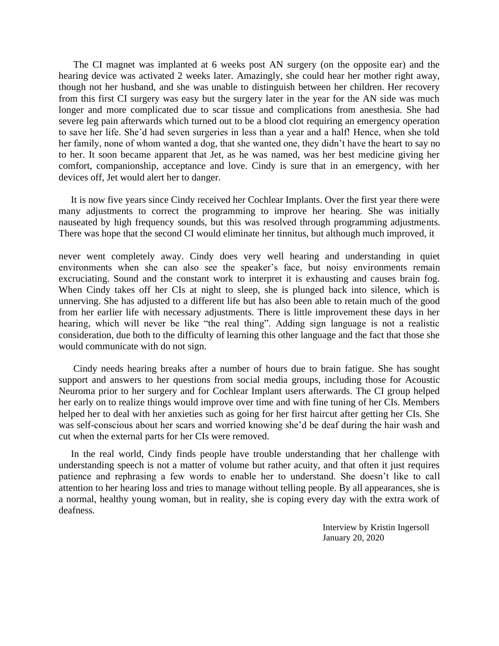The CI magnet was implanted at 6 weeks post AN surgery (on the opposite ear) and the hearing device was activated 2 weeks later. Amazingly, she could hear her mother right away, though not her husband, and she was unable to distinguish between her children. Her recovery from this first CI surgery was easy but the surgery later in the year for the AN side was much longer and more complicated due to scar tissue and complications from anesthesia. She had severe leg pain afterwards which turned out to be a blood clot requiring an emergency operation to save her life. She'd had seven surgeries in less than a year and a half! Hence, when she told her family, none of whom wanted a dog, that she wanted one, they didn't have the heart to say no to her. It soon became apparent that Jet, as he was named, was her best medicine giving her comfort, companionship, acceptance and love. Cindy is sure that in an emergency, with her devices off, Jet would alert her to danger.

 It is now five years since Cindy received her Cochlear Implants. Over the first year there were many adjustments to correct the programming to improve her hearing. She was initially nauseated by high frequency sounds, but this was resolved through programming adjustments. There was hope that the second CI would eliminate her tinnitus, but although much improved, it

never went completely away. Cindy does very well hearing and understanding in quiet environments when she can also see the speaker's face, but noisy environments remain excruciating. Sound and the constant work to interpret it is exhausting and causes brain fog. When Cindy takes off her CIs at night to sleep, she is plunged back into silence, which is unnerving. She has adjusted to a different life but has also been able to retain much of the good from her earlier life with necessary adjustments. There is little improvement these days in her hearing, which will never be like "the real thing". Adding sign language is not a realistic consideration, due both to the difficulty of learning this other language and the fact that those she would communicate with do not sign.

 Cindy needs hearing breaks after a number of hours due to brain fatigue. She has sought support and answers to her questions from social media groups, including those for Acoustic Neuroma prior to her surgery and for Cochlear Implant users afterwards. The CI group helped her early on to realize things would improve over time and with fine tuning of her CIs. Members helped her to deal with her anxieties such as going for her first haircut after getting her CIs. She was self-conscious about her scars and worried knowing she'd be deaf during the hair wash and cut when the external parts for her CIs were removed.

 In the real world, Cindy finds people have trouble understanding that her challenge with understanding speech is not a matter of volume but rather acuity, and that often it just requires patience and rephrasing a few words to enable her to understand. She doesn't like to call attention to her hearing loss and tries to manage without telling people. By all appearances, she is a normal, healthy young woman, but in reality, she is coping every day with the extra work of deafness.

> Interview by Kristin Ingersoll January 20, 2020